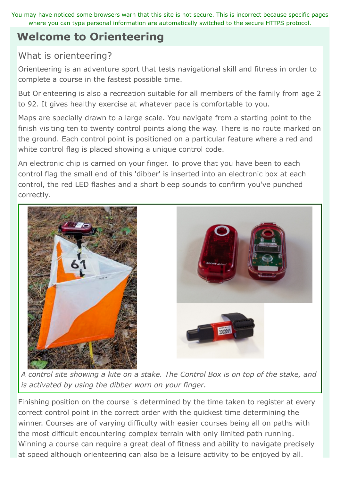You may have noticed some browsers warn that this site is not secure. This is incorrect because specific pages where you can type personal information are automatically switched to the secure HTTPS protocol.

# **Welcome to Orienteering**

# What is orienteering?

Orienteering is an adventure sport that tests navigational skill and fitness in order to complete a course in the fastest possible time.

But Orienteering is also a recreation suitable for all members of the family from age 2 to 92. It gives healthy exercise at whatever pace is comfortable to you.

Maps are specially drawn to a large scale. You navigate from a starting point to the finish visiting ten to twenty control points along the way. There is no route marked on the ground. Each control point is positioned on a particular feature where a red and white control flag is placed showing a unique control code.

An electronic chip is carried on your finger. To prove that you have been to each control flag the small end of this 'dibber' is inserted into an electronic box at each control, the red LED flashes and a short bleep sounds to confirm you've punched correctly.



*A control site showing a kite on a stake. The Control Box is on top of the stake, and is activated by using the dibber worn on your finger.*

Finishing position on the course is determined by the time taken to register at every correct control point in the correct order with the quickest time determining the winner. Courses are of varying difficulty with easier courses being all on paths with the most difficult encountering complex terrain with only limited path running. Winning a course can require a great deal of fitness and ability to navigate precisely at speed although orienteering can also be a leisure activity to be enjoyed by all.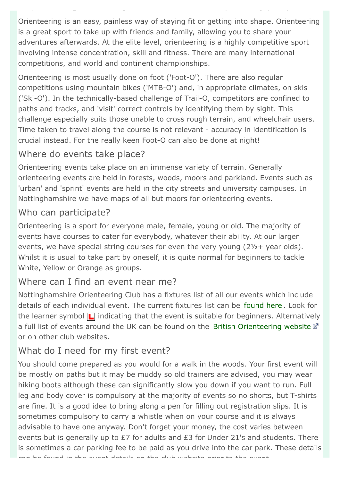Orienteering is an easy, painless way of staying fit or getting into shape. Orienteering is a great sport to take up with friends and family, allowing you to share your adventures afterwards. At the elite level, orienteering is a highly competitive sport involving intense concentration, skill and fitness. There are many international competitions, and world and continent championships.

at speed although orienteering can also be a leisure activity to be enjoyed by all.

Orienteering is most usually done on foot ('Foot-O'). There are also regular competitions using mountain bikes ('MTB-O') and, in appropriate climates, on skis ('Ski-O'). In the technically-based challenge of Trail-O, competitors are confined to paths and tracks, and 'visit' correct controls by identifying them by sight. This challenge especially suits those unable to cross rough terrain, and wheelchair users. Time taken to travel along the course is not relevant - accuracy in identification is crucial instead. For the really keen Foot-O can also be done at night!

# Where do events take place?

Orienteering events take place on an immense variety of terrain. Generally orienteering events are held in forests, woods, moors and parkland. Events such as 'urban' and 'sprint' events are held in the city streets and university campuses. In Nottinghamshire we have maps of all but moors for orienteering events.

# Who can participate?

Orienteering is a sport for everyone male, female, young or old. The majority of events have courses to cater for everybody, whatever their ability. At our larger events, we have special string courses for even the very young (2½+ year olds). Whilst it is usual to take part by oneself, it is quite normal for beginners to tackle White, Yellow or Orange as groups.

### Where can I find an event near me?

Nottinghamshire Orienteering Club has a fixtures list of all our events which include details of each individual event. The current fixtures list can be [found here](http://www.noc-uk.org/Events/FIXTURES) . Look for the learner symbol  $\Box$  indicating that the event is suitable for beginners. Alternatively a full list of events around the UK can be found on the [British Orienteering website](http://www.britishorienteering.org.uk/page/event)  $\mathbb Z$ or on other club websites.

# What do I need for my first event?

You should come prepared as you would for a walk in the woods. Your first event will be mostly on paths but it may be muddy so old trainers are advised, you may wear hiking boots although these can significantly slow you down if you want to run. Full leg and body cover is compulsory at the majority of events so no shorts, but T-shirts are fine. It is a good idea to bring along a pen for filling out registration slips. It is sometimes compulsory to carry a whistle when on your course and it is always advisable to have one anyway. Don't forget your money, the cost varies between events but is generally up to £7 for adults and £3 for Under 21's and students. There is sometimes a car parking fee to be paid as you drive into the car park. These details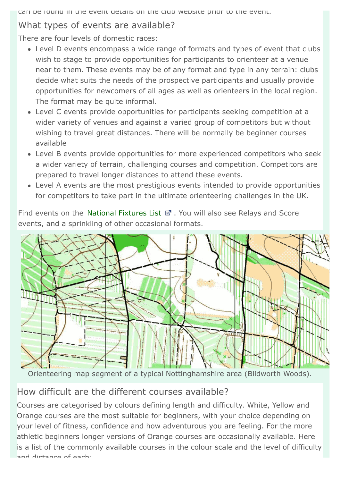can be found in the event details on the club website prior to the event.

# What types of events are available?

There are four levels of domestic races:

- Level D events encompass a wide range of formats and types of event that clubs wish to stage to provide opportunities for participants to orienteer at a venue near to them. These events may be of any format and type in any terrain: clubs decide what suits the needs of the prospective participants and usually provide opportunities for newcomers of all ages as well as orienteers in the local region. The format may be quite informal.
- Level C events provide opportunities for participants seeking competition at a wider variety of venues and against a varied group of competitors but without wishing to travel great distances. There will be normally be beginner courses available
- Level B events provide opportunities for more experienced competitors who seek a wider variety of terrain, challenging courses and competition. Competitors are prepared to travel longer distances to attend these events.
- Level A events are the most prestigious events intended to provide opportunities for competitors to take part in the ultimate orienteering challenges in the UK.

Find events on the [National Fixtures List](http://www.britishorienteering.org.uk/page/event)  $\mathbb{F}$ . You will also see Relays and Score events, and a sprinkling of other occasional formats.



Orienteering map segment of a typical Nottinghamshire area (Blidworth Woods).

# How difficult are the different courses available?

Courses are categorised by colours defining length and difficulty. White, Yellow and Orange courses are the most suitable for beginners, with your choice depending on your level of fitness, confidence and how adventurous you are feeling. For the more athletic beginners longer versions of Orange courses are occasionally available. Here is a list of the commonly available courses in the colour scale and the level of difficulty and distance of each: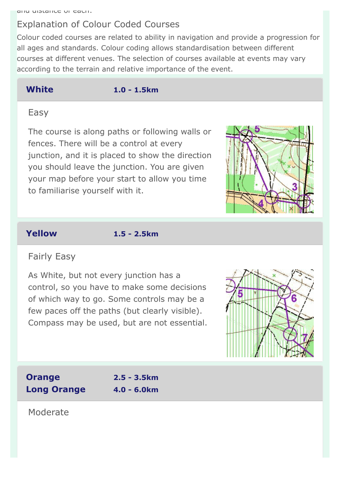# Explanation of Colour Coded Courses

Colour coded courses are related to ability in navigation and provide a progression for all ages and standards. Colour coding allows standardisation between different courses at different venues. The selection of courses available at events may vary according to the terrain and relative importance of the event.

**White 1.0 - 1.5km**

#### Easy

The course is along paths or following walls or fences. There will be a control at every junction, and it is placed to show the direction you should leave the junction. You are given your map before your start to allow you time to familiarise yourself with it.



**Yellow 1.5 - 2.5km**

# Fairly Easy

As White, but not every junction has a control, so you have to make some decisions of which way to go. Some controls may be a few paces off the paths (but clearly visible). Compass may be used, but are not essential.



**Orange 2.5 - 3.5km Long Orange 4.0 - 6.0km**

Moderate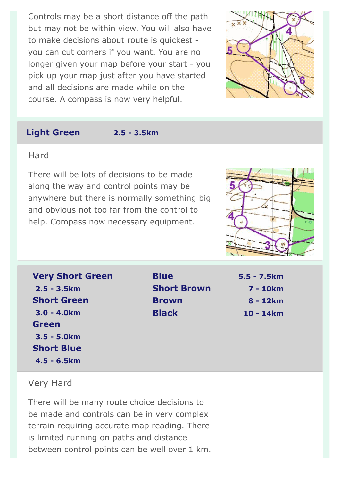Controls may be a short distance off the path but may not be within view. You will also have to make decisions about route is quickest you can cut corners if you want. You are no longer given your map before your start - you pick up your map just after you have started and all decisions are made while on the course. A compass is now very helpful.



#### **Light Green 2.5 - 3.5km**

#### **Hard**

There will be lots of decisions to be made along the way and control points may be anywhere but there is normally something big and obvious not too far from the control to help. Compass now necessary equipment.



| <b>Very Short Green</b> |
|-------------------------|
|                         |
|                         |
|                         |
|                         |
|                         |
|                         |
|                         |
|                         |

**Blue 5.5 - 7.5km Short Brown 7 - 10km Brown 8 - 12km Black 10 - 14km**

#### Very Hard

There will be many route choice decisions to be made and controls can be in very complex terrain requiring accurate map reading. There is limited running on paths and distance between control points can be well over 1 km.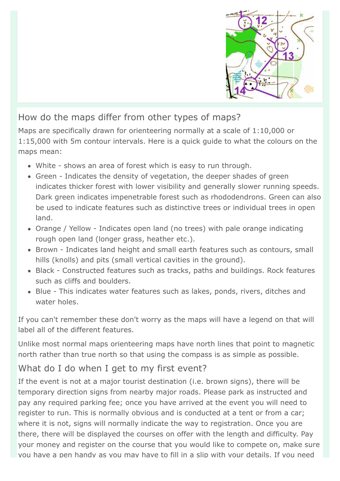

# How do the maps differ from other types of maps?

Maps are specifically drawn for orienteering normally at a scale of 1:10,000 or 1:15,000 with 5m contour intervals. Here is a quick guide to what the colours on the maps mean:

- White shows an area of forest which is easy to run through.
- Green Indicates the density of vegetation, the deeper shades of green indicates thicker forest with lower visibility and generally slower running speeds. Dark green indicates impenetrable forest such as rhododendrons. Green can also be used to indicate features such as distinctive trees or individual trees in open land.
- Orange / Yellow Indicates open land (no trees) with pale orange indicating rough open land (longer grass, heather etc.).
- Brown Indicates land height and small earth features such as contours, small hills (knolls) and pits (small vertical cavities in the ground).
- Black Constructed features such as tracks, paths and buildings. Rock features such as cliffs and boulders.
- Blue This indicates water features such as lakes, ponds, rivers, ditches and water holes.

If you can't remember these don't worry as the maps will have a legend on that will label all of the different features.

Unlike most normal maps orienteering maps have north lines that point to magnetic north rather than true north so that using the compass is as simple as possible.

# What do I do when I get to my first event?

If the event is not at a major tourist destination (i.e. brown signs), there will be temporary direction signs from nearby major roads. Please park as instructed and pay any required parking fee; once you have arrived at the event you will need to register to run. This is normally obvious and is conducted at a tent or from a car; where it is not, signs will normally indicate the way to registration. Once you are there, there will be displayed the courses on offer with the length and difficulty. Pay your money and register on the course that you would like to compete on, make sure you have a pen handy as you may have to fill in a slip with your details. If you need